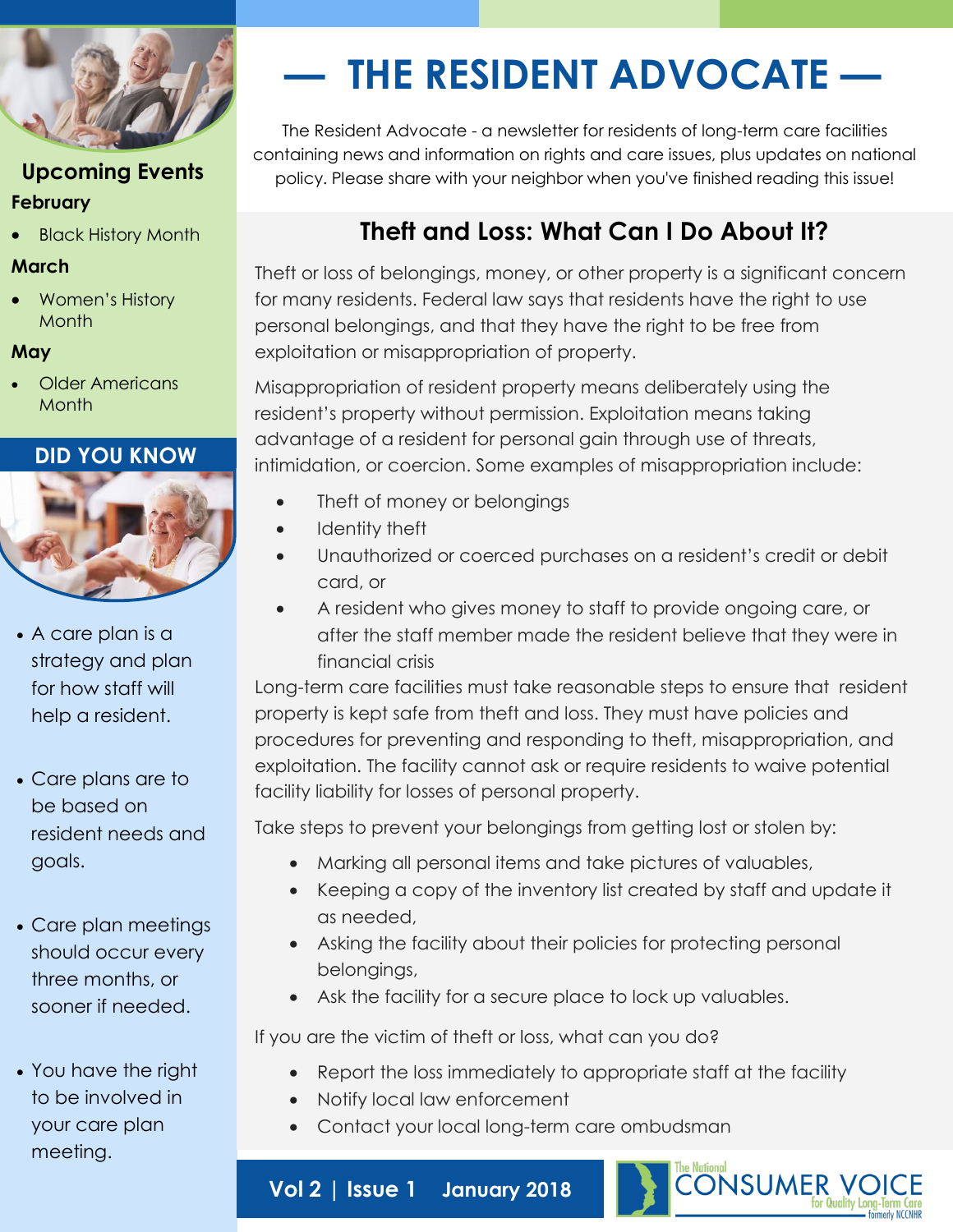

### **Upcoming Events February**

Black History Month

### **March**

 Women's History Month

#### **May**

 Older Americans **Month** 

### **DID YOU KNOW**



- A care plan is a strategy and plan for how staff will help a resident.
- Care plans are to be based on resident needs and goals.
- Care plan meetings should occur every three months, or sooner if needed.
- You have the right to be involved in your care plan meeting.

# **— THE RESIDENT ADVOCATE —**

The Resident Advocate - a newsletter for residents of long-term care facilities containing news and information on rights and care issues, plus updates on national policy. Please share with your neighbor when you've finished reading this issue!

# **Theft and Loss: What Can I Do About It?**

Theft or loss of belongings, money, or other property is a significant concern for many residents. Federal law says that residents have the right to use personal belongings, and that they have the right to be free from exploitation or misappropriation of property.

Misappropriation of resident property means deliberately using the resident's property without permission. Exploitation means taking advantage of a resident for personal gain through use of threats, intimidation, or coercion. Some examples of misappropriation include:

- Theft of money or belongings
- Identity theft
- Unauthorized or coerced purchases on a resident's credit or debit card, or
- A resident who gives money to staff to provide ongoing care, or after the staff member made the resident believe that they were in financial crisis

Long-term care facilities must take reasonable steps to ensure that resident property is kept safe from theft and loss. They must have policies and procedures for preventing and responding to theft, misappropriation, and exploitation. The facility cannot ask or require residents to waive potential facility liability for losses of personal property.

Take steps to prevent your belongings from getting lost or stolen by:

- Marking all personal items and take pictures of valuables,
- Keeping a copy of the inventory list created by staff and update it as needed,
- Asking the facility about their policies for protecting personal belongings,
- Ask the facility for a secure place to lock up valuables.

If you are the victim of theft or loss, what can you do?

- Report the loss immediately to appropriate staff at the facility
- Notify local law enforcement
- Contact your local long-term care ombudsman